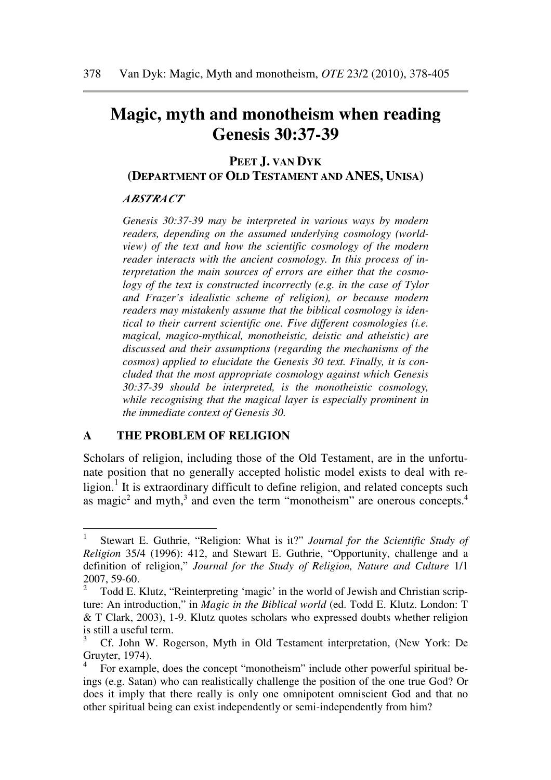# **Magic, myth and monotheism when reading Genesis 30:37-39**

### **PEET J. VAN DYK**

#### **(DEPARTMENT OF OLD TESTAMENT AND ANES, UNISA)**

#### *ABSTRACT*

*Genesis 30:37-39 may be interpreted in various ways by modern readers, depending on the assumed underlying cosmology (worldview) of the text and how the scientific cosmology of the modern reader interacts with the ancient cosmology. In this process of interpretation the main sources of errors are either that the cosmology of the text is constructed incorrectly (e.g. in the case of Tylor and Frazer's idealistic scheme of religion), or because modern readers may mistakenly assume that the biblical cosmology is identical to their current scientific one. Five different cosmologies (i.e. magical, magico-mythical, monotheistic, deistic and atheistic) are discussed and their assumptions (regarding the mechanisms of the cosmos) applied to elucidate the Genesis 30 text. Finally, it is concluded that the most appropriate cosmology against which Genesis 30:37-39 should be interpreted, is the monotheistic cosmology, while recognising that the magical layer is especially prominent in the immediate context of Genesis 30.* 

### **A THE PROBLEM OF RELIGION**

 $\overline{\phantom{a}}$ 

Scholars of religion, including those of the Old Testament, are in the unfortunate position that no generally accepted holistic model exists to deal with religion.<sup>1</sup> It is extraordinary difficult to define religion, and related concepts such as magic<sup>2</sup> and myth,<sup>3</sup> and even the term "monotheism" are onerous concepts.<sup>4</sup>

<sup>1</sup> Stewart E. Guthrie, "Religion: What is it?" *Journal for the Scientific Study of Religion* 35/4 (1996): 412, and Stewart E. Guthrie, "Opportunity, challenge and a definition of religion," *Journal for the Study of Religion, Nature and Culture* 1/1 2007, 59-60.

<sup>2</sup> Todd E. Klutz, "Reinterpreting 'magic' in the world of Jewish and Christian scripture: An introduction," in *Magic in the Biblical world* (ed. Todd E. Klutz. London: T & T Clark, 2003), 1-9. Klutz quotes scholars who expressed doubts whether religion is still a useful term.

<sup>3</sup> Cf. John W. Rogerson, Myth in Old Testament interpretation, (New York: De Gruyter, 1974).

<sup>4</sup> For example, does the concept "monotheism" include other powerful spiritual beings (e.g. Satan) who can realistically challenge the position of the one true God? Or does it imply that there really is only one omnipotent omniscient God and that no other spiritual being can exist independently or semi-independently from him?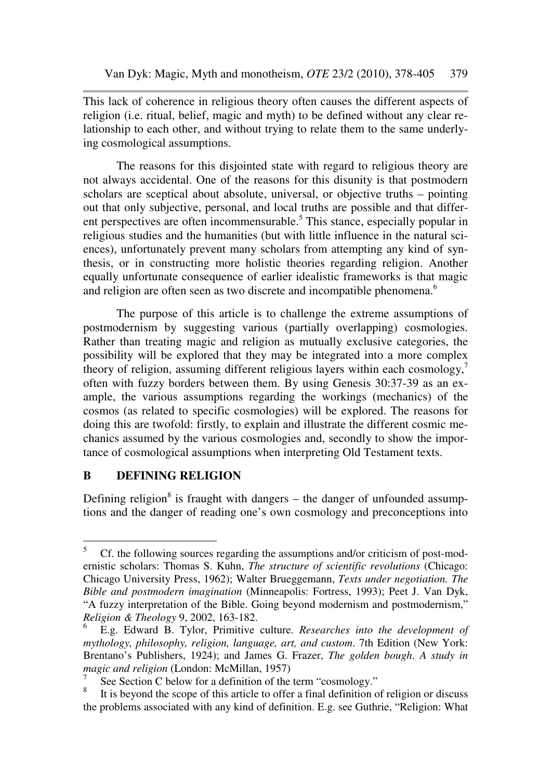This lack of coherence in religious theory often causes the different aspects of religion (i.e. ritual, belief, magic and myth) to be defined without any clear relationship to each other, and without trying to relate them to the same underlying cosmological assumptions.

The reasons for this disjointed state with regard to religious theory are not always accidental. One of the reasons for this disunity is that postmodern scholars are sceptical about absolute, universal, or objective truths – pointing out that only subjective, personal, and local truths are possible and that different perspectives are often incommensurable.<sup>5</sup> This stance, especially popular in religious studies and the humanities (but with little influence in the natural sciences), unfortunately prevent many scholars from attempting any kind of synthesis, or in constructing more holistic theories regarding religion. Another equally unfortunate consequence of earlier idealistic frameworks is that magic and religion are often seen as two discrete and incompatible phenomena.<sup>6</sup>

The purpose of this article is to challenge the extreme assumptions of postmodernism by suggesting various (partially overlapping) cosmologies. Rather than treating magic and religion as mutually exclusive categories, the possibility will be explored that they may be integrated into a more complex theory of religion, assuming different religious layers within each cosmology,<sup>7</sup> often with fuzzy borders between them. By using Genesis 30:37-39 as an example, the various assumptions regarding the workings (mechanics) of the cosmos (as related to specific cosmologies) will be explored. The reasons for doing this are twofold: firstly, to explain and illustrate the different cosmic mechanics assumed by the various cosmologies and, secondly to show the importance of cosmological assumptions when interpreting Old Testament texts.

### **B** DEFINING RELIGION

Defining religion<sup>8</sup> is fraught with dangers  $-$  the danger of unfounded assumptions and the danger of reading one's own cosmology and preconceptions into

 5 Cf. the following sources regarding the assumptions and/or criticism of post-modernistic scholars: Thomas S. Kuhn, *The structure of scientific revolutions* (Chicago: Chicago University Press, 1962); Walter Brueggemann, *Texts under negotiation. The Bible and postmodern imagination* (Minneapolis: Fortress, 1993); Peet J. Van Dyk, "A fuzzy interpretation of the Bible. Going beyond modernism and postmodernism," *Religion & Theology* 9, 2002, 163-182.

<sup>6</sup> E.g. Edward B. Tylor, Primitive culture. *Researches into the development of mythology, philosophy, religion, language, art, and custom*. 7th Edition (New York: Brentano's Publishers, 1924); and James G. Frazer, *The golden bough*. *A study in magic and religion* (London: McMillan, 1957)

<sup>7</sup> See Section C below for a definition of the term "cosmology."

<sup>8</sup> It is beyond the scope of this article to offer a final definition of religion or discuss the problems associated with any kind of definition. E.g. see Guthrie, "Religion: What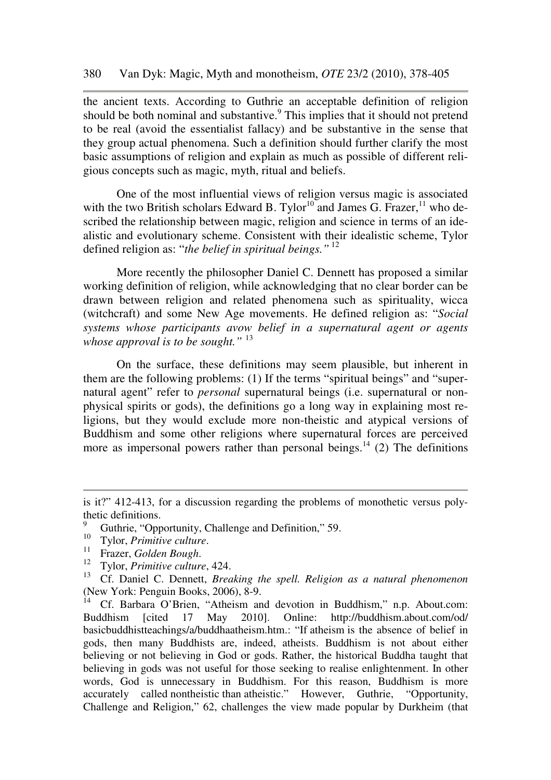the ancient texts. According to Guthrie an acceptable definition of religion should be both nominal and substantive.<sup>9</sup> This implies that it should not pretend to be real (avoid the essentialist fallacy) and be substantive in the sense that they group actual phenomena. Such a definition should further clarify the most basic assumptions of religion and explain as much as possible of different religious concepts such as magic, myth, ritual and beliefs.

One of the most influential views of religion versus magic is associated with the two British scholars Edward B. Tylor<sup>10</sup> and James G. Frazer, <sup>11</sup> who described the relationship between magic, religion and science in terms of an idealistic and evolutionary scheme. Consistent with their idealistic scheme, Tylor defined religion as: "*the belief in spiritual beings."*<sup>12</sup>

More recently the philosopher Daniel C. Dennett has proposed a similar working definition of religion, while acknowledging that no clear border can be drawn between religion and related phenomena such as spirituality, wicca (witchcraft) and some New Age movements. He defined religion as: "*Social systems whose participants avow belief in a supernatural agent or agents whose approval is to be sought."* <sup>13</sup>

On the surface, these definitions may seem plausible, but inherent in them are the following problems: (1) If the terms "spiritual beings" and "supernatural agent" refer to *personal* supernatural beings (i.e. supernatural or nonphysical spirits or gods), the definitions go a long way in explaining most religions, but they would exclude more non-theistic and atypical versions of Buddhism and some other religions where supernatural forces are perceived more as impersonal powers rather than personal beings.<sup>14</sup> (2) The definitions

is it?" 412-413, for a discussion regarding the problems of monothetic versus polythetic definitions.

<sup>9</sup> <sup>9</sup> Guthrie, "Opportunity, Challenge and Definition," 59.

<sup>10</sup> Tylor, *Primitive culture*.

<sup>11</sup> Frazer, *Golden Bough*.

<sup>12</sup> Tylor, *Primitive culture*, 424.

<sup>13</sup> Cf. Daniel C. Dennett, *Breaking the spell. Religion as a natural phenomenon* (New York: Penguin Books, 2006), 8-9.

<sup>14</sup> Cf. Barbara O'Brien, "Atheism and devotion in Buddhism," n.p. About.com: Buddhism [cited 17 May 2010]. Online: http://buddhism.about.com/od/ basicbuddhistteachings/a/buddhaatheism.htm.: "If atheism is the absence of belief in gods, then many Buddhists are, indeed, atheists. Buddhism is not about either believing or not believing in God or gods. Rather, the historical Buddha taught that believing in gods was not useful for those seeking to realise enlightenment. In other words, God is unnecessary in Buddhism. For this reason, Buddhism is more accurately called nontheistic than atheistic." However, Guthrie, "Opportunity, Challenge and Religion," 62, challenges the view made popular by Durkheim (that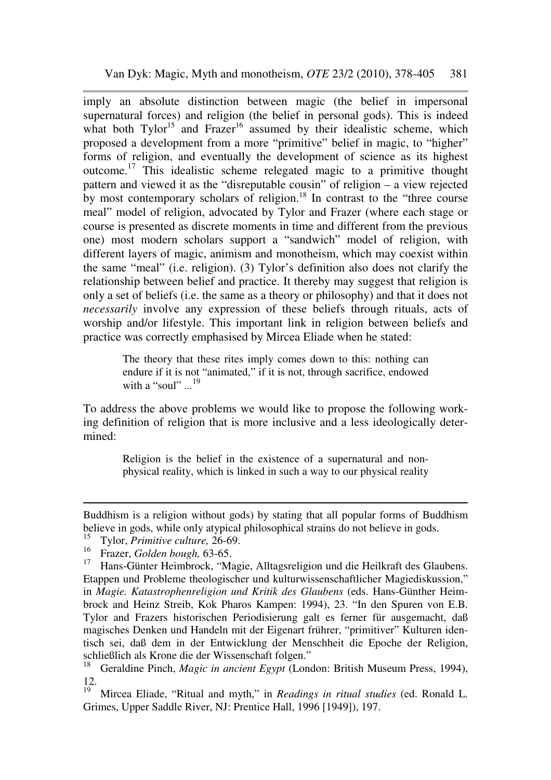imply an absolute distinction between magic (the belief in impersonal supernatural forces) and religion (the belief in personal gods). This is indeed what both  $Ty\text{lor}^{15}$  and Frazer<sup>16</sup> assumed by their idealistic scheme, which proposed a development from a more "primitive" belief in magic, to "higher" forms of religion, and eventually the development of science as its highest outcome.<sup>17</sup> This idealistic scheme relegated magic to a primitive thought pattern and viewed it as the "disreputable cousin" of religion – a view rejected by most contemporary scholars of religion.<sup>18</sup> In contrast to the "three course" meal" model of religion, advocated by Tylor and Frazer (where each stage or course is presented as discrete moments in time and different from the previous one) most modern scholars support a "sandwich" model of religion, with different layers of magic, animism and monotheism, which may coexist within the same "meal" (i.e. religion). (3) Tylor's definition also does not clarify the relationship between belief and practice. It thereby may suggest that religion is only a set of beliefs (i.e. the same as a theory or philosophy) and that it does not *necessarily* involve any expression of these beliefs through rituals, acts of worship and/or lifestyle. This important link in religion between beliefs and practice was correctly emphasised by Mircea Eliade when he stated:

> The theory that these rites imply comes down to this: nothing can endure if it is not "animated," if it is not, through sacrifice, endowed with a "soul"  $\ldots$ <sup>19</sup>

To address the above problems we would like to propose the following working definition of religion that is more inclusive and a less ideologically determined:

> Religion is the belief in the existence of a supernatural and nonphysical reality, which is linked in such a way to our physical reality

Buddhism is a religion without gods) by stating that all popular forms of Buddhism believe in gods, while only atypical philosophical strains do not believe in gods.

<sup>15</sup> Tylor, *Primitive culture,* 26-69.

<sup>16</sup> Frazer, *Golden bough*, 63-65.<br><sup>17</sup> Hone Günter Heimbrock "Me

<sup>17</sup> Hans-Günter Heimbrock, "Magie, Alltagsreligion und die Heilkraft des Glaubens. Etappen und Probleme theologischer und kulturwissenschaftlicher Magiediskussion," in *Magie. Katastrophenreligion und Kritik des Glaubens* (eds. Hans-Günther Heimbrock and Heinz Streib, Kok Pharos Kampen: 1994), 23. "In den Spuren von E.B. Tylor and Frazers historischen Periodisierung galt es ferner für ausgemacht, daß magisches Denken und Handeln mit der Eigenart frührer, "primitiver" Kulturen identisch sei, daß dem in der Entwicklung der Menschheit die Epoche der Religion, schließlich als Krone die der Wissenschaft folgen."

<sup>&</sup>lt;sup>18</sup> Geraldine Pinch, *Magic in ancient Egypt* (London: British Museum Press, 1994), 12.

<sup>19</sup> Mircea Eliade, "Ritual and myth," in *Readings in ritual studies* (ed. Ronald L. Grimes, Upper Saddle River, NJ: Prentice Hall, 1996 [1949]), 197.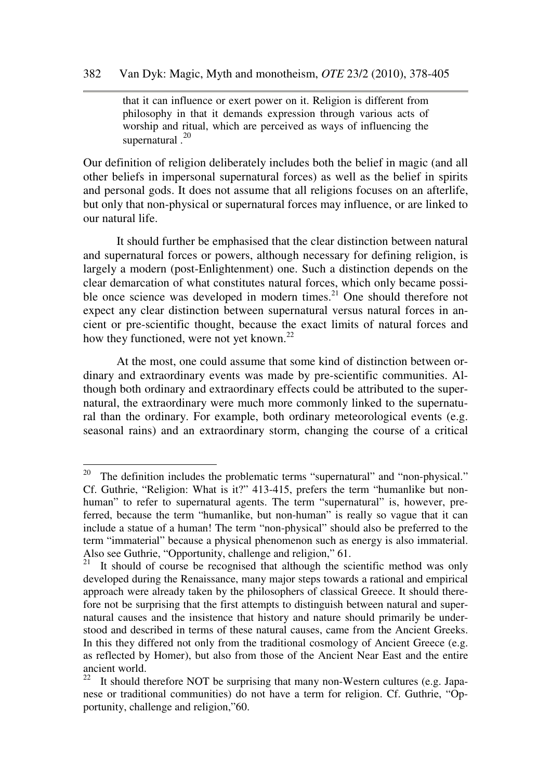that it can influence or exert power on it. Religion is different from philosophy in that it demands expression through various acts of worship and ritual, which are perceived as ways of influencing the supernatural  $.20$ 

Our definition of religion deliberately includes both the belief in magic (and all other beliefs in impersonal supernatural forces) as well as the belief in spirits and personal gods. It does not assume that all religions focuses on an afterlife, but only that non-physical or supernatural forces may influence, or are linked to our natural life.

It should further be emphasised that the clear distinction between natural and supernatural forces or powers, although necessary for defining religion, is largely a modern (post-Enlightenment) one. Such a distinction depends on the clear demarcation of what constitutes natural forces, which only became possible once science was developed in modern times.<sup>21</sup> One should therefore not expect any clear distinction between supernatural versus natural forces in ancient or pre-scientific thought, because the exact limits of natural forces and how they functioned, were not yet known.<sup>22</sup>

At the most, one could assume that some kind of distinction between ordinary and extraordinary events was made by pre-scientific communities. Although both ordinary and extraordinary effects could be attributed to the supernatural, the extraordinary were much more commonly linked to the supernatural than the ordinary. For example, both ordinary meteorological events (e.g. seasonal rains) and an extraordinary storm, changing the course of a critical

<sup>20</sup> The definition includes the problematic terms "supernatural" and "non-physical." Cf. Guthrie, "Religion: What is it?" 413-415, prefers the term "humanlike but nonhuman" to refer to supernatural agents. The term "supernatural" is, however, preferred, because the term "humanlike, but non-human" is really so vague that it can include a statue of a human! The term "non-physical" should also be preferred to the term "immaterial" because a physical phenomenon such as energy is also immaterial. Also see Guthrie, "Opportunity, challenge and religion," 61.<br><sup>21</sup> It should of course be recognised that although the sc

It should of course be recognised that although the scientific method was only developed during the Renaissance, many major steps towards a rational and empirical approach were already taken by the philosophers of classical Greece. It should therefore not be surprising that the first attempts to distinguish between natural and supernatural causes and the insistence that history and nature should primarily be understood and described in terms of these natural causes, came from the Ancient Greeks. In this they differed not only from the traditional cosmology of Ancient Greece (e.g. as reflected by Homer), but also from those of the Ancient Near East and the entire ancient world.<br> $^{22}$  It should the

It should therefore NOT be surprising that many non-Western cultures (e.g. Japanese or traditional communities) do not have a term for religion. Cf. Guthrie, "Opportunity, challenge and religion,"60.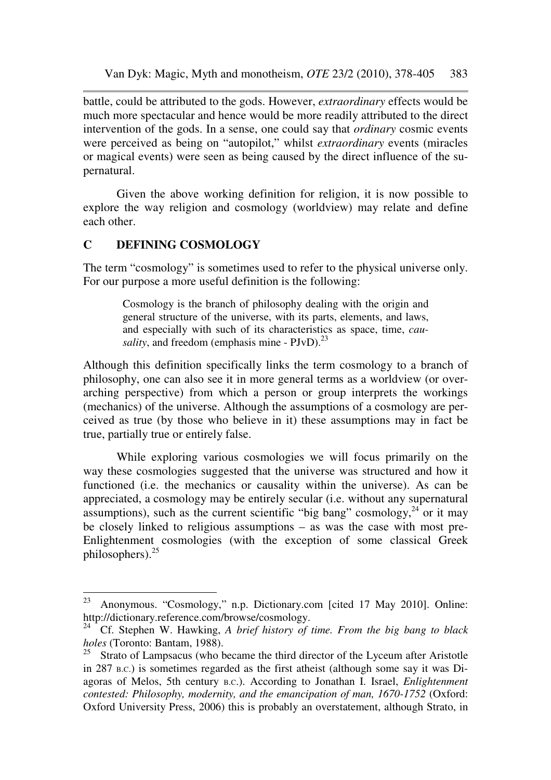Van Dyk: Magic, Myth and monotheism, *OTE* 23/2 (2010), 378-405 383

battle, could be attributed to the gods. However, *extraordinary* effects would be much more spectacular and hence would be more readily attributed to the direct intervention of the gods. In a sense, one could say that *ordinary* cosmic events were perceived as being on "autopilot," whilst *extraordinary* events (miracles or magical events) were seen as being caused by the direct influence of the supernatural.

Given the above working definition for religion, it is now possible to explore the way religion and cosmology (worldview) may relate and define each other.

### **C DEFINING COSMOLOGY**

The term "cosmology" is sometimes used to refer to the physical universe only. For our purpose a more useful definition is the following:

> Cosmology is the branch of philosophy dealing with the origin and general structure of the universe, with its parts, elements, and laws, and especially with such of its characteristics as space, time, *causality*, and freedom (emphasis mine -  $P JvD$ ).<sup>23</sup>

Although this definition specifically links the term cosmology to a branch of philosophy, one can also see it in more general terms as a worldview (or overarching perspective) from which a person or group interprets the workings (mechanics) of the universe. Although the assumptions of a cosmology are perceived as true (by those who believe in it) these assumptions may in fact be true, partially true or entirely false.

While exploring various cosmologies we will focus primarily on the way these cosmologies suggested that the universe was structured and how it functioned (i.e. the mechanics or causality within the universe). As can be appreciated, a cosmology may be entirely secular (i.e. without any supernatural assumptions), such as the current scientific "big bang" cosmology,  $24$  or it may be closely linked to religious assumptions – as was the case with most pre-Enlightenment cosmologies (with the exception of some classical Greek philosophers).<sup>25</sup>

<sup>23</sup> Anonymous. "Cosmology," n.p. Dictionary.com [cited 17 May 2010]. Online: http://dictionary.reference.com/browse/cosmology.

<sup>24</sup> Cf. Stephen W. Hawking, *A brief history of time. From the big bang to black holes* (Toronto: Bantam, 1988).<br><sup>25</sup> Strato of Lampsacus (who b

Strato of Lampsacus (who became the third director of the Lyceum after Aristotle in 287 B.C.) is sometimes regarded as the first atheist (although some say it was Diagoras of Melos, 5th century B.C.). According to Jonathan I. Israel, *Enlightenment contested: Philosophy, modernity, and the emancipation of man, 1670-1752* (Oxford: Oxford University Press, 2006) this is probably an overstatement, although Strato, in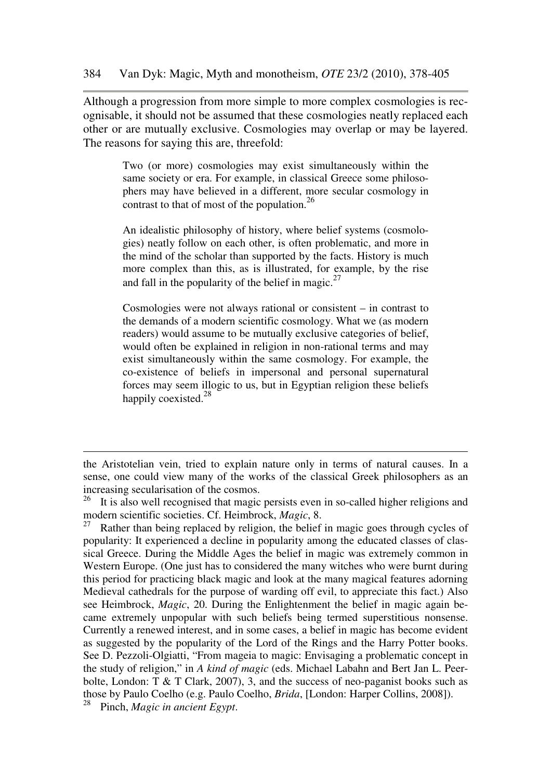Although a progression from more simple to more complex cosmologies is recognisable, it should not be assumed that these cosmologies neatly replaced each other or are mutually exclusive. Cosmologies may overlap or may be layered. The reasons for saying this are, threefold:

> Two (or more) cosmologies may exist simultaneously within the same society or era. For example, in classical Greece some philosophers may have believed in a different, more secular cosmology in contrast to that of most of the population.<sup>26</sup>

> An idealistic philosophy of history, where belief systems (cosmologies) neatly follow on each other, is often problematic, and more in the mind of the scholar than supported by the facts. History is much more complex than this, as is illustrated, for example, by the rise and fall in the popularity of the belief in magic. $27$

> Cosmologies were not always rational or consistent – in contrast to the demands of a modern scientific cosmology. What we (as modern readers) would assume to be mutually exclusive categories of belief, would often be explained in religion in non-rational terms and may exist simultaneously within the same cosmology. For example, the co-existence of beliefs in impersonal and personal supernatural forces may seem illogic to us, but in Egyptian religion these beliefs happily coexisted. $^{28}$

the Aristotelian vein, tried to explain nature only in terms of natural causes. In a sense, one could view many of the works of the classical Greek philosophers as an increasing secularisation of the cosmos.

 $\frac{26}{10}$  It is also well recognised that magic persists even in so-called higher religions and modern scientific societies. Cf. Heimbrock, *Magic*, 8.<br><sup>27</sup> Rather than being secular 1.

Rather than being replaced by religion, the belief in magic goes through cycles of popularity: It experienced a decline in popularity among the educated classes of classical Greece. During the Middle Ages the belief in magic was extremely common in Western Europe. (One just has to considered the many witches who were burnt during this period for practicing black magic and look at the many magical features adorning Medieval cathedrals for the purpose of warding off evil, to appreciate this fact.) Also see Heimbrock, *Magic*, 20. During the Enlightenment the belief in magic again became extremely unpopular with such beliefs being termed superstitious nonsense. Currently a renewed interest, and in some cases, a belief in magic has become evident as suggested by the popularity of the Lord of the Rings and the Harry Potter books. See D. Pezzoli-Olgiatti, "From mageia to magic: Envisaging a problematic concept in the study of religion," in *A kind of magic* (eds. Michael Labahn and Bert Jan L. Peerbolte, London: T & T Clark, 2007), 3, and the success of neo-paganist books such as those by Paulo Coelho (e.g. Paulo Coelho, *Brida*, [London: Harper Collins, 2008]). <sup>28</sup> Pinch, *Magic in ancient Egypt*.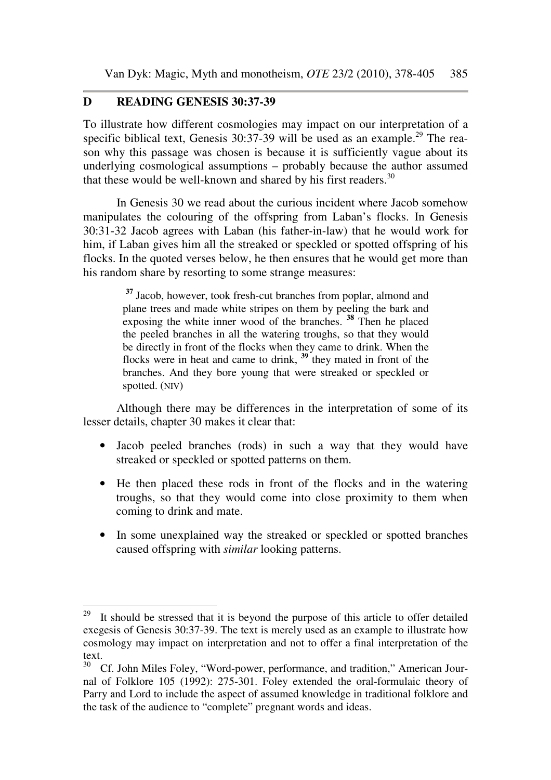### **D READING GENESIS 30:37-39**

To illustrate how different cosmologies may impact on our interpretation of a specific biblical text, Genesis  $30:37-39$  will be used as an example.<sup>29</sup> The reason why this passage was chosen is because it is sufficiently vague about its underlying cosmological assumptions – probably because the author assumed that these would be well-known and shared by his first readers.<sup>30</sup>

In Genesis 30 we read about the curious incident where Jacob somehow manipulates the colouring of the offspring from Laban's flocks. In Genesis 30:31-32 Jacob agrees with Laban (his father-in-law) that he would work for him, if Laban gives him all the streaked or speckled or spotted offspring of his flocks. In the quoted verses below, he then ensures that he would get more than his random share by resorting to some strange measures:

> **<sup>37</sup>** Jacob, however, took fresh-cut branches from poplar, almond and plane trees and made white stripes on them by peeling the bark and exposing the white inner wood of the branches. **<sup>38</sup>** Then he placed the peeled branches in all the watering troughs, so that they would be directly in front of the flocks when they came to drink. When the flocks were in heat and came to drink, **<sup>39</sup>** they mated in front of the branches. And they bore young that were streaked or speckled or spotted. (NIV)

Although there may be differences in the interpretation of some of its lesser details, chapter 30 makes it clear that:

- Jacob peeled branches (rods) in such a way that they would have streaked or speckled or spotted patterns on them.
- He then placed these rods in front of the flocks and in the watering troughs, so that they would come into close proximity to them when coming to drink and mate.
- In some unexplained way the streaked or speckled or spotted branches caused offspring with *similar* looking patterns.

 $29\,$ It should be stressed that it is beyond the purpose of this article to offer detailed exegesis of Genesis 30:37-39. The text is merely used as an example to illustrate how cosmology may impact on interpretation and not to offer a final interpretation of the text.

<sup>30</sup> Cf. John Miles Foley, "Word-power, performance, and tradition," American Journal of Folklore 105 (1992): 275-301. Foley extended the oral-formulaic theory of Parry and Lord to include the aspect of assumed knowledge in traditional folklore and the task of the audience to "complete" pregnant words and ideas.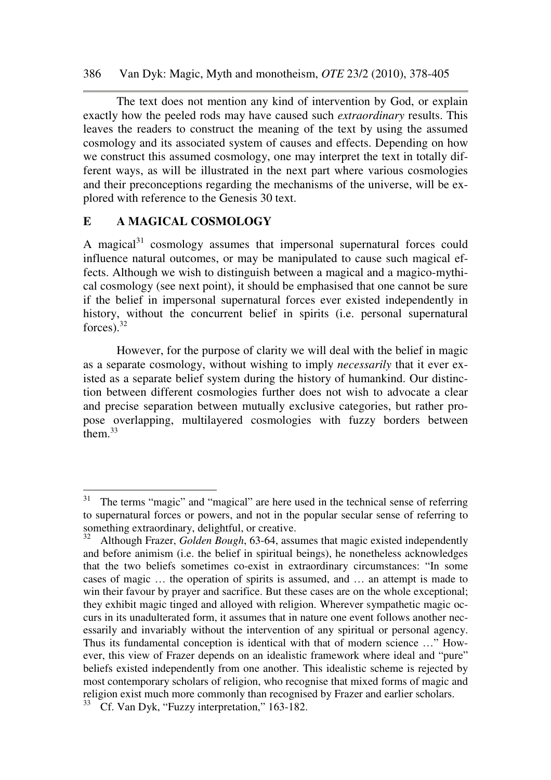386 Van Dyk: Magic, Myth and monotheism, *OTE* 23/2 (2010), 378-405

The text does not mention any kind of intervention by God, or explain exactly how the peeled rods may have caused such *extraordinary* results. This leaves the readers to construct the meaning of the text by using the assumed cosmology and its associated system of causes and effects. Depending on how we construct this assumed cosmology, one may interpret the text in totally different ways, as will be illustrated in the next part where various cosmologies and their preconceptions regarding the mechanisms of the universe, will be explored with reference to the Genesis 30 text.

#### **E A MAGICAL COSMOLOGY**

A magical $31$  cosmology assumes that impersonal supernatural forces could influence natural outcomes, or may be manipulated to cause such magical effects. Although we wish to distinguish between a magical and a magico-mythical cosmology (see next point), it should be emphasised that one cannot be sure if the belief in impersonal supernatural forces ever existed independently in history, without the concurrent belief in spirits (i.e. personal supernatural forces). $32$ 

However, for the purpose of clarity we will deal with the belief in magic as a separate cosmology, without wishing to imply *necessarily* that it ever existed as a separate belief system during the history of humankind. Our distinction between different cosmologies further does not wish to advocate a clear and precise separation between mutually exclusive categories, but rather propose overlapping, multilayered cosmologies with fuzzy borders between them. $33$ 

<sup>31</sup> The terms "magic" and "magical" are here used in the technical sense of referring to supernatural forces or powers, and not in the popular secular sense of referring to something extraordinary, delightful, or creative.

<sup>32</sup> Although Frazer, *Golden Bough*, 63-64, assumes that magic existed independently and before animism (i.e. the belief in spiritual beings), he nonetheless acknowledges that the two beliefs sometimes co-exist in extraordinary circumstances: "In some cases of magic … the operation of spirits is assumed, and … an attempt is made to win their favour by prayer and sacrifice. But these cases are on the whole exceptional; they exhibit magic tinged and alloyed with religion. Wherever sympathetic magic occurs in its unadulterated form, it assumes that in nature one event follows another necessarily and invariably without the intervention of any spiritual or personal agency. Thus its fundamental conception is identical with that of modern science …" However, this view of Frazer depends on an idealistic framework where ideal and "pure" beliefs existed independently from one another. This idealistic scheme is rejected by most contemporary scholars of religion, who recognise that mixed forms of magic and religion exist much more commonly than recognised by Frazer and earlier scholars. <sup>33</sup> Cf. Van Dyk, "Fuzzy interpretation," 163-182.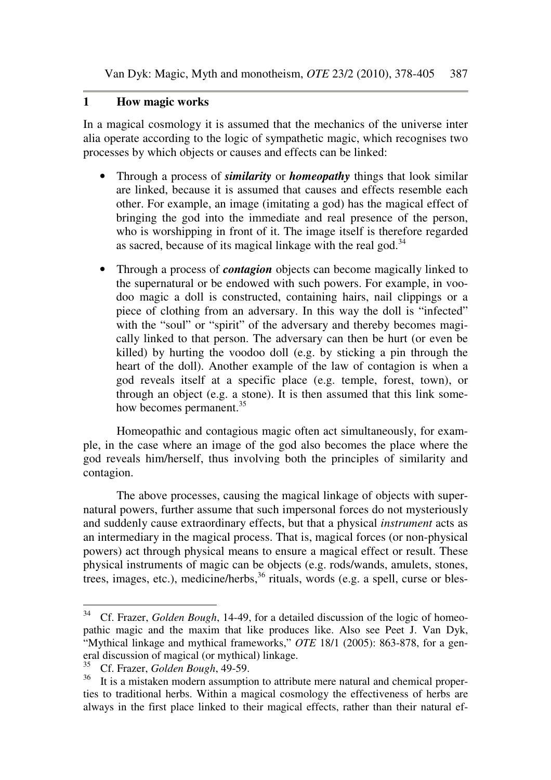### **1 How magic works**

In a magical cosmology it is assumed that the mechanics of the universe inter alia operate according to the logic of sympathetic magic, which recognises two processes by which objects or causes and effects can be linked:

- Through a process of *similarity* or *homeopathy* things that look similar are linked, because it is assumed that causes and effects resemble each other. For example, an image (imitating a god) has the magical effect of bringing the god into the immediate and real presence of the person, who is worshipping in front of it. The image itself is therefore regarded as sacred, because of its magical linkage with the real god. $34$
- Through a process of *contagion* objects can become magically linked to the supernatural or be endowed with such powers. For example, in voodoo magic a doll is constructed, containing hairs, nail clippings or a piece of clothing from an adversary. In this way the doll is "infected" with the "soul" or "spirit" of the adversary and thereby becomes magically linked to that person. The adversary can then be hurt (or even be killed) by hurting the voodoo doll (e.g. by sticking a pin through the heart of the doll). Another example of the law of contagion is when a god reveals itself at a specific place (e.g. temple, forest, town), or through an object (e.g. a stone). It is then assumed that this link somehow becomes permanent.<sup>35</sup>

Homeopathic and contagious magic often act simultaneously, for example, in the case where an image of the god also becomes the place where the god reveals him/herself, thus involving both the principles of similarity and contagion.

The above processes, causing the magical linkage of objects with supernatural powers, further assume that such impersonal forces do not mysteriously and suddenly cause extraordinary effects, but that a physical *instrument* acts as an intermediary in the magical process. That is, magical forces (or non-physical powers) act through physical means to ensure a magical effect or result. These physical instruments of magic can be objects (e.g. rods/wands, amulets, stones, trees, images, etc.), medicine/herbs,<sup>36</sup> rituals, words (e.g. a spell, curse or bles-

<sup>34</sup> Cf. Frazer, *Golden Bough*, 14-49, for a detailed discussion of the logic of homeopathic magic and the maxim that like produces like. Also see Peet J. Van Dyk, "Mythical linkage and mythical frameworks," *OTE* 18/1 (2005): 863-878, for a general discussion of magical (or mythical) linkage.

<sup>35</sup> Cf. Frazer, *Golden Bough*, 49-59.

<sup>&</sup>lt;sup>36</sup> It is a mistaken modern assumption to attribute mere natural and chemical properties to traditional herbs. Within a magical cosmology the effectiveness of herbs are always in the first place linked to their magical effects, rather than their natural ef-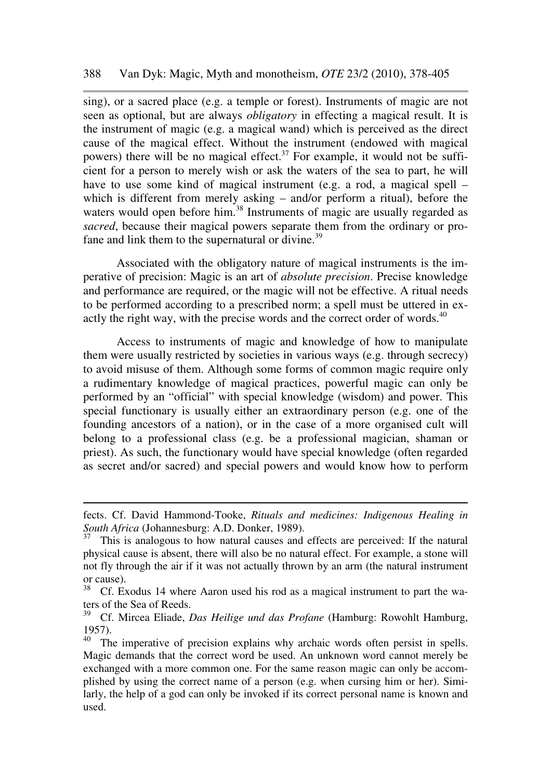sing), or a sacred place (e.g. a temple or forest). Instruments of magic are not seen as optional, but are always *obligatory* in effecting a magical result. It is the instrument of magic (e.g. a magical wand) which is perceived as the direct cause of the magical effect. Without the instrument (endowed with magical powers) there will be no magical effect.<sup>37</sup> For example, it would not be sufficient for a person to merely wish or ask the waters of the sea to part, he will have to use some kind of magical instrument (e.g. a rod, a magical spell – which is different from merely asking – and/or perform a ritual), before the waters would open before him.<sup>38</sup> Instruments of magic are usually regarded as *sacred*, because their magical powers separate them from the ordinary or profane and link them to the supernatural or divine.<sup>39</sup>

Associated with the obligatory nature of magical instruments is the imperative of precision: Magic is an art of *absolute precision*. Precise knowledge and performance are required, or the magic will not be effective. A ritual needs to be performed according to a prescribed norm; a spell must be uttered in exactly the right way, with the precise words and the correct order of words.<sup>40</sup>

Access to instruments of magic and knowledge of how to manipulate them were usually restricted by societies in various ways (e.g. through secrecy) to avoid misuse of them. Although some forms of common magic require only a rudimentary knowledge of magical practices, powerful magic can only be performed by an "official" with special knowledge (wisdom) and power. This special functionary is usually either an extraordinary person (e.g. one of the founding ancestors of a nation), or in the case of a more organised cult will belong to a professional class (e.g. be a professional magician, shaman or priest). As such, the functionary would have special knowledge (often regarded as secret and/or sacred) and special powers and would know how to perform

fects. Cf. David Hammond-Tooke, *Rituals and medicines: Indigenous Healing in South Africa* (Johannesburg: A.D. Donker, 1989).

This is analogous to how natural causes and effects are perceived: If the natural physical cause is absent, there will also be no natural effect. For example, a stone will not fly through the air if it was not actually thrown by an arm (the natural instrument or cause).

 $38\text{ }^\circ$  Cf. Exodus 14 where Aaron used his rod as a magical instrument to part the waters of the Sea of Reeds.

<sup>39</sup> Cf. Mircea Eliade, *Das Heilige und das Profane* (Hamburg: Rowohlt Hamburg, 1957).

The imperative of precision explains why archaic words often persist in spells. Magic demands that the correct word be used. An unknown word cannot merely be exchanged with a more common one. For the same reason magic can only be accomplished by using the correct name of a person (e.g. when cursing him or her). Similarly, the help of a god can only be invoked if its correct personal name is known and used.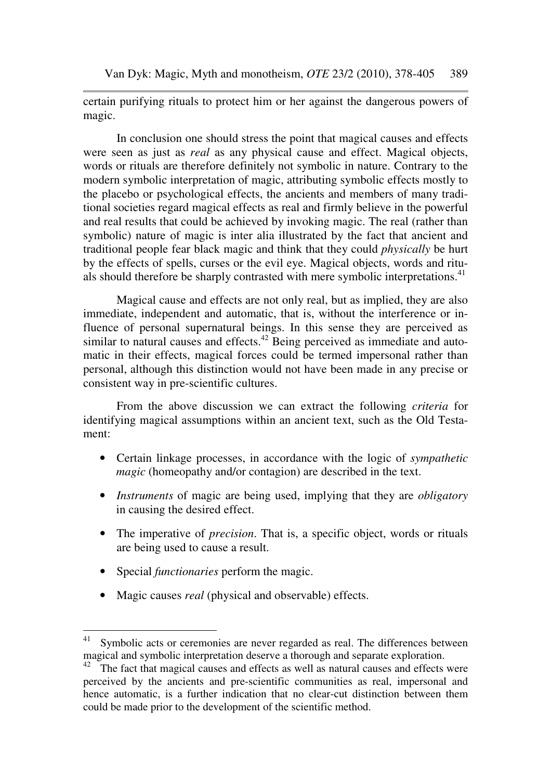Van Dyk: Magic, Myth and monotheism, *OTE* 23/2 (2010), 378-405 389

certain purifying rituals to protect him or her against the dangerous powers of magic.

In conclusion one should stress the point that magical causes and effects were seen as just as *real* as any physical cause and effect. Magical objects, words or rituals are therefore definitely not symbolic in nature. Contrary to the modern symbolic interpretation of magic, attributing symbolic effects mostly to the placebo or psychological effects, the ancients and members of many traditional societies regard magical effects as real and firmly believe in the powerful and real results that could be achieved by invoking magic. The real (rather than symbolic) nature of magic is inter alia illustrated by the fact that ancient and traditional people fear black magic and think that they could *physically* be hurt by the effects of spells, curses or the evil eye. Magical objects, words and rituals should therefore be sharply contrasted with mere symbolic interpretations.<sup>41</sup>

Magical cause and effects are not only real, but as implied, they are also immediate, independent and automatic, that is, without the interference or influence of personal supernatural beings. In this sense they are perceived as similar to natural causes and effects.<sup>42</sup> Being perceived as immediate and automatic in their effects, magical forces could be termed impersonal rather than personal, although this distinction would not have been made in any precise or consistent way in pre-scientific cultures.

From the above discussion we can extract the following *criteria* for identifying magical assumptions within an ancient text, such as the Old Testament:

- Certain linkage processes, in accordance with the logic of *sympathetic magic* (homeopathy and/or contagion) are described in the text.
- *Instruments* of magic are being used, implying that they are *obligatory* in causing the desired effect.
- The imperative of *precision*. That is, a specific object, words or rituals are being used to cause a result.
- Special *functionaries* perform the magic.
- Magic causes *real* (physical and observable) effects.

<sup>41</sup> Symbolic acts or ceremonies are never regarded as real. The differences between magical and symbolic interpretation deserve a thorough and separate exploration.

 $42$  The fact that magical causes and effects as well as natural causes and effects were perceived by the ancients and pre-scientific communities as real, impersonal and hence automatic, is a further indication that no clear-cut distinction between them could be made prior to the development of the scientific method.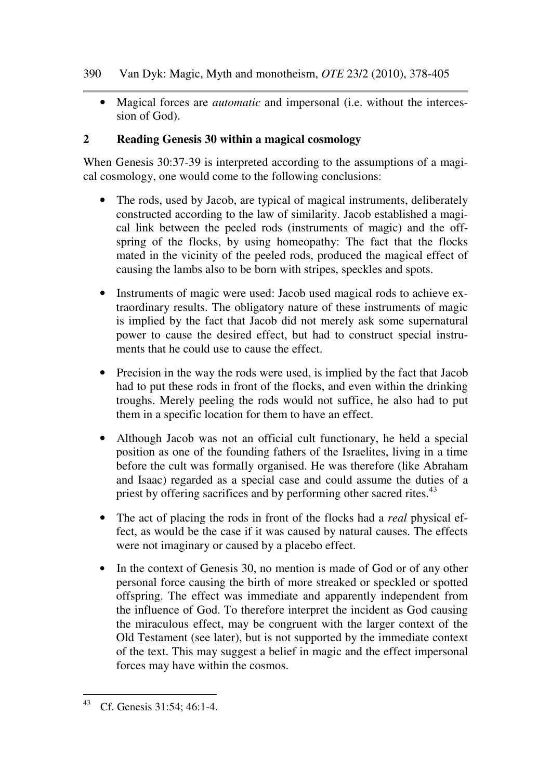• Magical forces are *automatic* and impersonal (i.e. without the intercession of God).

# **2 Reading Genesis 30 within a magical cosmology**

When Genesis 30:37-39 is interpreted according to the assumptions of a magical cosmology, one would come to the following conclusions:

- The rods, used by Jacob, are typical of magical instruments, deliberately constructed according to the law of similarity. Jacob established a magical link between the peeled rods (instruments of magic) and the offspring of the flocks, by using homeopathy: The fact that the flocks mated in the vicinity of the peeled rods, produced the magical effect of causing the lambs also to be born with stripes, speckles and spots.
- Instruments of magic were used: Jacob used magical rods to achieve extraordinary results. The obligatory nature of these instruments of magic is implied by the fact that Jacob did not merely ask some supernatural power to cause the desired effect, but had to construct special instruments that he could use to cause the effect.
- Precision in the way the rods were used, is implied by the fact that Jacob had to put these rods in front of the flocks, and even within the drinking troughs. Merely peeling the rods would not suffice, he also had to put them in a specific location for them to have an effect.
- Although Jacob was not an official cult functionary, he held a special position as one of the founding fathers of the Israelites, living in a time before the cult was formally organised. He was therefore (like Abraham and Isaac) regarded as a special case and could assume the duties of a priest by offering sacrifices and by performing other sacred rites.<sup>43</sup>
- The act of placing the rods in front of the flocks had a *real* physical effect, as would be the case if it was caused by natural causes. The effects were not imaginary or caused by a placebo effect.
- In the context of Genesis 30, no mention is made of God or of any other personal force causing the birth of more streaked or speckled or spotted offspring. The effect was immediate and apparently independent from the influence of God. To therefore interpret the incident as God causing the miraculous effect, may be congruent with the larger context of the Old Testament (see later), but is not supported by the immediate context of the text. This may suggest a belief in magic and the effect impersonal forces may have within the cosmos.

 $\overline{a}$ Cf. Genesis 31:54: 46:1-4.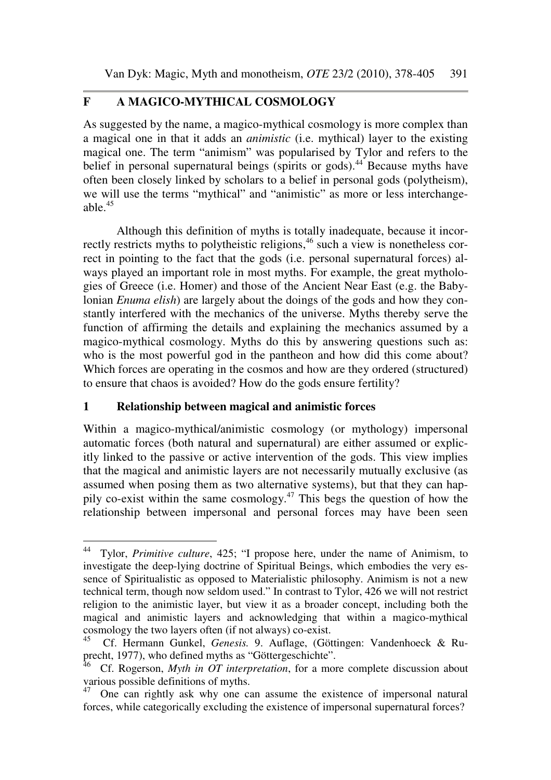# **F A MAGICO-MYTHICAL COSMOLOGY**

As suggested by the name, a magico-mythical cosmology is more complex than a magical one in that it adds an *animistic* (i.e. mythical) layer to the existing magical one. The term "animism" was popularised by Tylor and refers to the belief in personal supernatural beings (spirits or gods).<sup>44</sup> Because myths have often been closely linked by scholars to a belief in personal gods (polytheism), we will use the terms "mythical" and "animistic" as more or less interchangeable. $45$ 

Although this definition of myths is totally inadequate, because it incorrectly restricts myths to polytheistic religions,<sup>46</sup> such a view is nonetheless correct in pointing to the fact that the gods (i.e. personal supernatural forces) always played an important role in most myths. For example, the great mythologies of Greece (i.e. Homer) and those of the Ancient Near East (e.g. the Babylonian *Enuma elish*) are largely about the doings of the gods and how they constantly interfered with the mechanics of the universe. Myths thereby serve the function of affirming the details and explaining the mechanics assumed by a magico-mythical cosmology. Myths do this by answering questions such as: who is the most powerful god in the pantheon and how did this come about? Which forces are operating in the cosmos and how are they ordered (structured) to ensure that chaos is avoided? How do the gods ensure fertility?

### **1 Relationship between magical and animistic forces**

Within a magico-mythical/animistic cosmology (or mythology) impersonal automatic forces (both natural and supernatural) are either assumed or explicitly linked to the passive or active intervention of the gods. This view implies that the magical and animistic layers are not necessarily mutually exclusive (as assumed when posing them as two alternative systems), but that they can happily co-exist within the same cosmology.<sup>47</sup> This begs the question of how the relationship between impersonal and personal forces may have been seen

 $\overline{a}$ <sup>44</sup> Tylor, *Primitive culture*, 425; "I propose here, under the name of Animism, to investigate the deep-lying doctrine of Spiritual Beings, which embodies the very essence of Spiritualistic as opposed to Materialistic philosophy. Animism is not a new technical term, though now seldom used." In contrast to Tylor, 426 we will not restrict religion to the animistic layer, but view it as a broader concept, including both the magical and animistic layers and acknowledging that within a magico-mythical cosmology the two layers often (if not always) co-exist.<br> $^{45}$  Cf. Hermann Cu 1,1 C

<sup>45</sup> Cf. Hermann Gunkel, *Genesis.* 9. Auflage, (Göttingen: Vandenhoeck & Ruprecht, 1977), who defined myths as "Göttergeschichte".

<sup>&</sup>lt;sup>46</sup> Cf. Rogerson, *Myth in OT interpretation*, for a more complete discussion about various possible definitions of myths.

 $47$  One can rightly ask why one can assume the existence of impersonal natural forces, while categorically excluding the existence of impersonal supernatural forces?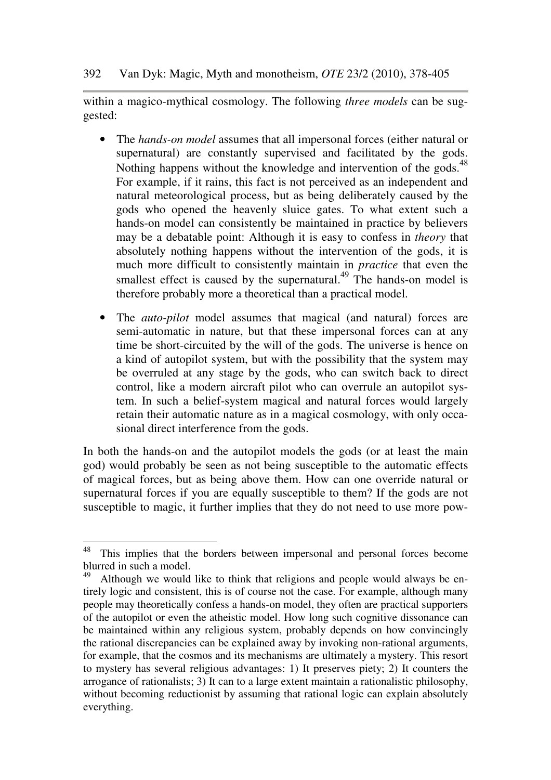within a magico-mythical cosmology. The following *three models* can be suggested:

- The *hands-on model* assumes that all impersonal forces (either natural or supernatural) are constantly supervised and facilitated by the gods. Nothing happens without the knowledge and intervention of the gods.<sup>48</sup> For example, if it rains, this fact is not perceived as an independent and natural meteorological process, but as being deliberately caused by the gods who opened the heavenly sluice gates. To what extent such a hands-on model can consistently be maintained in practice by believers may be a debatable point: Although it is easy to confess in *theory* that absolutely nothing happens without the intervention of the gods, it is much more difficult to consistently maintain in *practice* that even the smallest effect is caused by the supernatural.<sup>49</sup> The hands-on model is therefore probably more a theoretical than a practical model.
- The *auto-pilot* model assumes that magical (and natural) forces are semi-automatic in nature, but that these impersonal forces can at any time be short-circuited by the will of the gods. The universe is hence on a kind of autopilot system, but with the possibility that the system may be overruled at any stage by the gods, who can switch back to direct control, like a modern aircraft pilot who can overrule an autopilot system. In such a belief-system magical and natural forces would largely retain their automatic nature as in a magical cosmology, with only occasional direct interference from the gods.

In both the hands-on and the autopilot models the gods (or at least the main god) would probably be seen as not being susceptible to the automatic effects of magical forces, but as being above them. How can one override natural or supernatural forces if you are equally susceptible to them? If the gods are not susceptible to magic, it further implies that they do not need to use more pow-

 $\overline{a}$ <sup>48</sup> This implies that the borders between impersonal and personal forces become blurred in such a model.<br> $^{49}$  Although we would

Although we would like to think that religions and people would always be entirely logic and consistent, this is of course not the case. For example, although many people may theoretically confess a hands-on model, they often are practical supporters of the autopilot or even the atheistic model. How long such cognitive dissonance can be maintained within any religious system, probably depends on how convincingly the rational discrepancies can be explained away by invoking non-rational arguments, for example, that the cosmos and its mechanisms are ultimately a mystery. This resort to mystery has several religious advantages: 1) It preserves piety; 2) It counters the arrogance of rationalists; 3) It can to a large extent maintain a rationalistic philosophy, without becoming reductionist by assuming that rational logic can explain absolutely everything.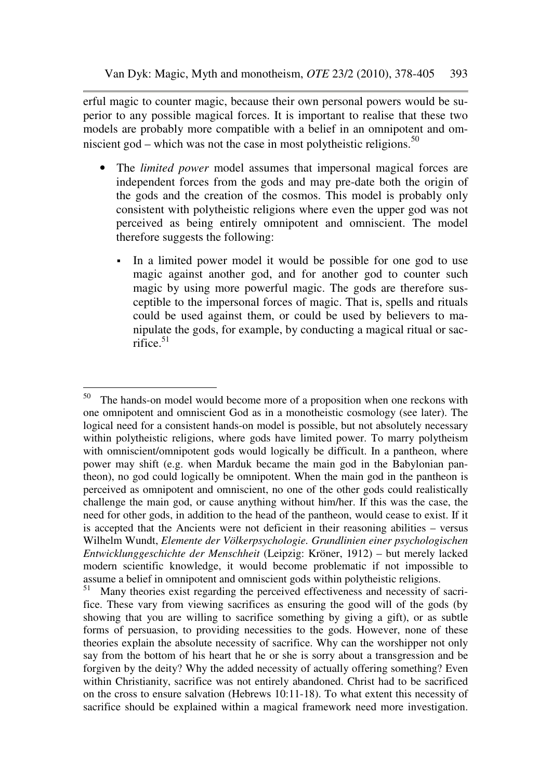erful magic to counter magic, because their own personal powers would be superior to any possible magical forces. It is important to realise that these two models are probably more compatible with a belief in an omnipotent and omniscient god – which was not the case in most polytheistic religions.<sup>50</sup>

- The *limited power* model assumes that impersonal magical forces are independent forces from the gods and may pre-date both the origin of the gods and the creation of the cosmos. This model is probably only consistent with polytheistic religions where even the upper god was not perceived as being entirely omnipotent and omniscient. The model therefore suggests the following:
	- In a limited power model it would be possible for one god to use magic against another god, and for another god to counter such magic by using more powerful magic. The gods are therefore susceptible to the impersonal forces of magic. That is, spells and rituals could be used against them, or could be used by believers to manipulate the gods, for example, by conducting a magical ritual or sacrifice. $51$

 $50\,$ The hands-on model would become more of a proposition when one reckons with one omnipotent and omniscient God as in a monotheistic cosmology (see later). The logical need for a consistent hands-on model is possible, but not absolutely necessary within polytheistic religions, where gods have limited power. To marry polytheism with omniscient/omnipotent gods would logically be difficult. In a pantheon, where power may shift (e.g. when Marduk became the main god in the Babylonian pantheon), no god could logically be omnipotent. When the main god in the pantheon is perceived as omnipotent and omniscient, no one of the other gods could realistically challenge the main god, or cause anything without him/her. If this was the case, the need for other gods, in addition to the head of the pantheon, would cease to exist. If it is accepted that the Ancients were not deficient in their reasoning abilities – versus Wilhelm Wundt, *Elemente der Völkerpsychologie. Grundlinien einer psychologischen Entwicklunggeschichte der Menschheit* (Leipzig: Kröner, 1912) – but merely lacked modern scientific knowledge, it would become problematic if not impossible to assume a belief in omnipotent and omniscient gods within polytheistic religions.<br><sup>51</sup> Many theories exist regarding the perceived effectiveness and perceiver of

Many theories exist regarding the perceived effectiveness and necessity of sacrifice. These vary from viewing sacrifices as ensuring the good will of the gods (by showing that you are willing to sacrifice something by giving a gift), or as subtle forms of persuasion, to providing necessities to the gods. However, none of these theories explain the absolute necessity of sacrifice. Why can the worshipper not only say from the bottom of his heart that he or she is sorry about a transgression and be forgiven by the deity? Why the added necessity of actually offering something? Even within Christianity, sacrifice was not entirely abandoned. Christ had to be sacrificed on the cross to ensure salvation (Hebrews 10:11-18). To what extent this necessity of sacrifice should be explained within a magical framework need more investigation.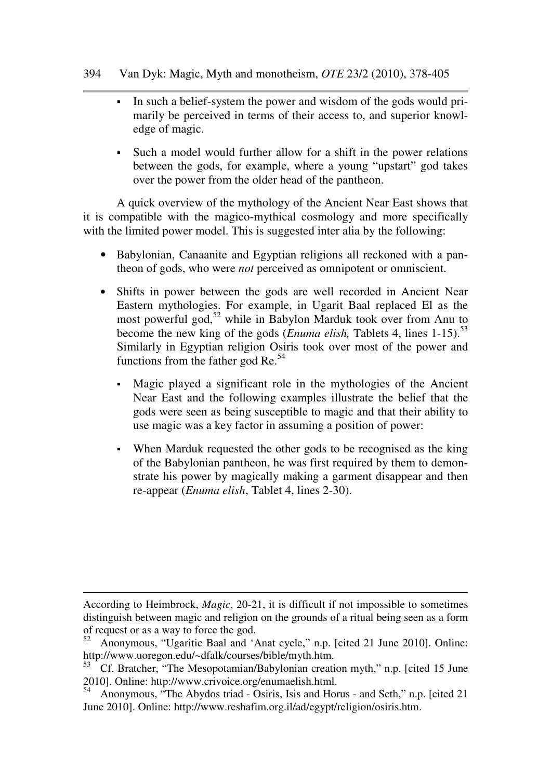- In such a belief-system the power and wisdom of the gods would primarily be perceived in terms of their access to, and superior knowledge of magic.
- Such a model would further allow for a shift in the power relations between the gods, for example, where a young "upstart" god takes over the power from the older head of the pantheon.

A quick overview of the mythology of the Ancient Near East shows that it is compatible with the magico-mythical cosmology and more specifically with the limited power model. This is suggested inter alia by the following:

- Babylonian, Canaanite and Egyptian religions all reckoned with a pantheon of gods, who were *not* perceived as omnipotent or omniscient.
- Shifts in power between the gods are well recorded in Ancient Near Eastern mythologies. For example, in Ugarit Baal replaced El as the most powerful god,<sup>52</sup> while in Babylon Marduk took over from Anu to become the new king of the gods *(Enuma elish, Tablets 4, lines 1-15)*<sup>53</sup> Similarly in Egyptian religion Osiris took over most of the power and functions from the father god  $\text{Re}^{54}$ 
	- Magic played a significant role in the mythologies of the Ancient Near East and the following examples illustrate the belief that the gods were seen as being susceptible to magic and that their ability to use magic was a key factor in assuming a position of power:
	- When Marduk requested the other gods to be recognised as the king of the Babylonian pantheon, he was first required by them to demonstrate his power by magically making a garment disappear and then re-appear (*Enuma elish*, Tablet 4, lines 2-30).

According to Heimbrock, *Magic*, 20-21, it is difficult if not impossible to sometimes distinguish between magic and religion on the grounds of a ritual being seen as a form of request or as a way to force the god.

<sup>52</sup>Anonymous, "Ugaritic Baal and 'Anat cycle," n.p. [cited 21 June 2010]. Online: http://www.uoregon.edu/~dfalk/courses/bible/myth.htm.

<sup>53</sup>Cf. Bratcher, "The Mesopotamian/Babylonian creation myth," n.p. [cited 15 June 2010]. Online: http://www.crivoice.org/enumaelish.html.

 $54$  Anonymous, "The Abydos triad - Osiris, Isis and Horus - and Seth," n.p. [cited 21] June 2010]. Online: http://www.reshafim.org.il/ad/egypt/religion/osiris.htm.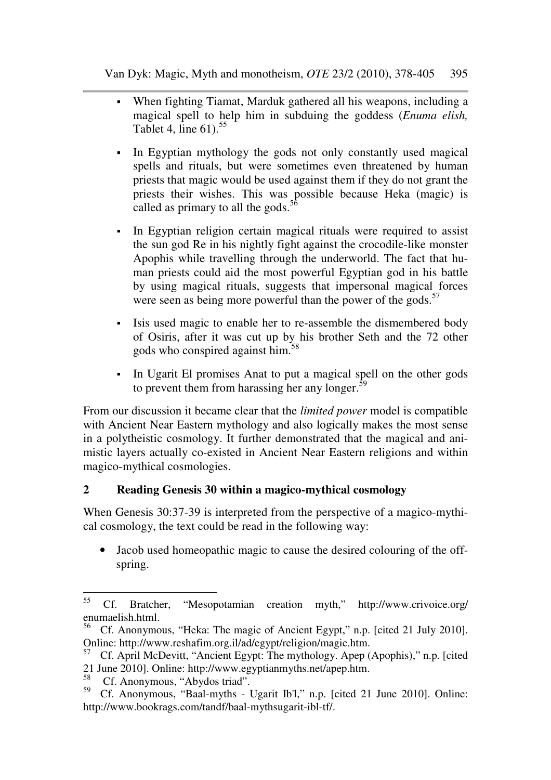- When fighting Tiamat, Marduk gathered all his weapons, including a magical spell to help him in subduing the goddess (*Enuma elish,* Tablet 4, line  $61$ ).<sup>55</sup>
- In Egyptian mythology the gods not only constantly used magical spells and rituals, but were sometimes even threatened by human priests that magic would be used against them if they do not grant the priests their wishes. This was possible because Heka (magic) is called as primary to all the gods. $\frac{5}{5}$
- In Egyptian religion certain magical rituals were required to assist the sun god Re in his nightly fight against the crocodile-like monster Apophis while travelling through the underworld. The fact that human priests could aid the most powerful Egyptian god in his battle by using magical rituals, suggests that impersonal magical forces were seen as being more powerful than the power of the gods.<sup>57</sup>
- Isis used magic to enable her to re-assemble the dismembered body of Osiris, after it was cut up by his brother Seth and the 72 other gods who conspired against him.<sup>58</sup>
- In Ugarit El promises Anat to put a magical spell on the other gods to prevent them from harassing her any longer. $59$

From our discussion it became clear that the *limited power* model is compatible with Ancient Near Eastern mythology and also logically makes the most sense in a polytheistic cosmology. It further demonstrated that the magical and animistic layers actually co-existed in Ancient Near Eastern religions and within magico-mythical cosmologies.

# **2 Reading Genesis 30 within a magico-mythical cosmology**

When Genesis 30:37-39 is interpreted from the perspective of a magico-mythical cosmology, the text could be read in the following way:

• Jacob used homeopathic magic to cause the desired colouring of the offspring.

<sup>55</sup> <sup>55</sup> Cf. Bratcher, "Mesopotamian creation myth," http://www.crivoice.org/ enumaelish.html.

<sup>&</sup>lt;sup>56</sup> Cf. Anonymous, "Heka: The magic of Ancient Egypt," n.p. [cited 21 July 2010]. Online: http://www.reshafim.org.il/ad/egypt/religion/magic.htm.

<sup>57</sup> Cf. April McDevitt, "Ancient Egypt: The mythology. Apep (Apophis)," n.p. [cited 21 June 2010]. Online: http://www.egyptianmyths.net/apep.htm.<br>58 Cf. Apenymous. "Abydos triad"

 $^{58}$  Cf. Anonymous, "Abydos triad".

<sup>59</sup> Cf. Anonymous, "Baal-myths - Ugarit Ib'l," n.p. [cited 21 June 2010]. Online: http://www.bookrags.com/tandf/baal-mythsugarit-ibl-tf/.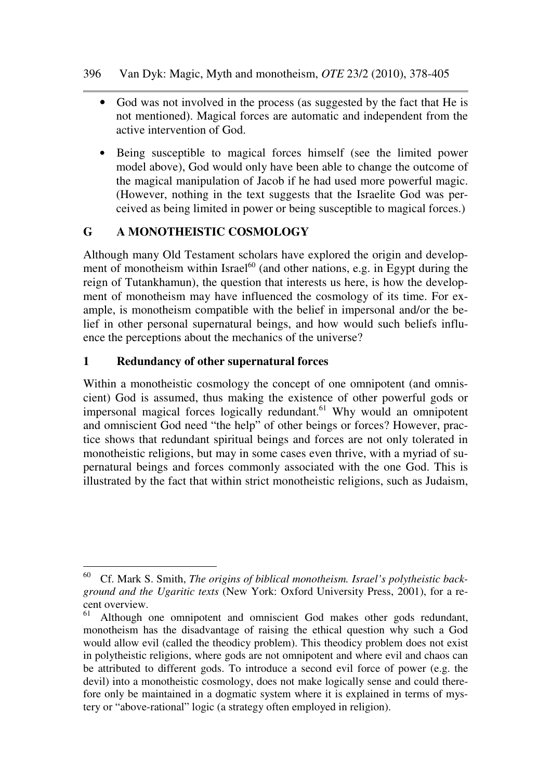- God was not involved in the process (as suggested by the fact that He is not mentioned). Magical forces are automatic and independent from the active intervention of God.
- Being susceptible to magical forces himself (see the limited power model above), God would only have been able to change the outcome of the magical manipulation of Jacob if he had used more powerful magic. (However, nothing in the text suggests that the Israelite God was perceived as being limited in power or being susceptible to magical forces.)

## **G A MONOTHEISTIC COSMOLOGY**

Although many Old Testament scholars have explored the origin and development of monotheism within Israel<sup>60</sup> (and other nations, e.g. in Egypt during the reign of Tutankhamun), the question that interests us here, is how the development of monotheism may have influenced the cosmology of its time. For example, is monotheism compatible with the belief in impersonal and/or the belief in other personal supernatural beings, and how would such beliefs influence the perceptions about the mechanics of the universe?

### **1 Redundancy of other supernatural forces**

 $\overline{a}$ 

Within a monotheistic cosmology the concept of one omnipotent (and omniscient) God is assumed, thus making the existence of other powerful gods or impersonal magical forces logically redundant.<sup>61</sup> Why would an omnipotent and omniscient God need "the help" of other beings or forces? However, practice shows that redundant spiritual beings and forces are not only tolerated in monotheistic religions, but may in some cases even thrive, with a myriad of supernatural beings and forces commonly associated with the one God. This is illustrated by the fact that within strict monotheistic religions, such as Judaism,

<sup>60</sup> Cf. Mark S. Smith, *The origins of biblical monotheism. Israel's polytheistic background and the Ugaritic texts* (New York: Oxford University Press, 2001), for a recent overview.

Although one omnipotent and omniscient God makes other gods redundant, monotheism has the disadvantage of raising the ethical question why such a God would allow evil (called the theodicy problem). This theodicy problem does not exist in polytheistic religions, where gods are not omnipotent and where evil and chaos can be attributed to different gods. To introduce a second evil force of power (e.g. the devil) into a monotheistic cosmology, does not make logically sense and could therefore only be maintained in a dogmatic system where it is explained in terms of mystery or "above-rational" logic (a strategy often employed in religion).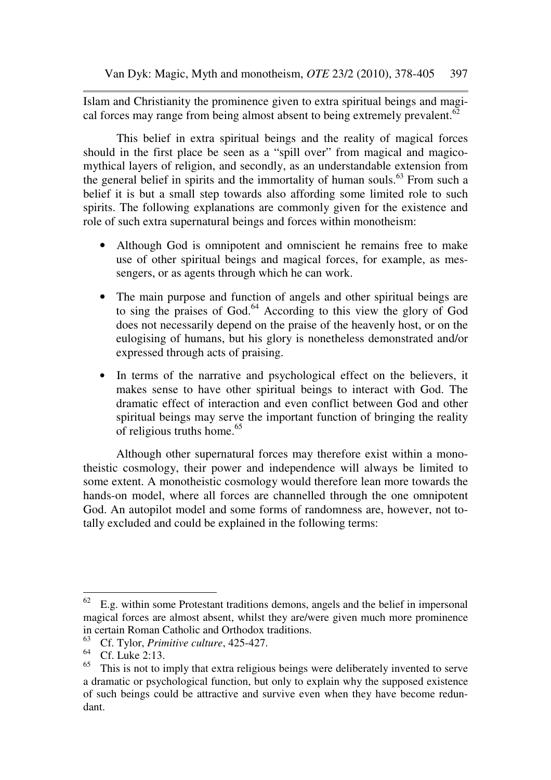Islam and Christianity the prominence given to extra spiritual beings and magical forces may range from being almost absent to being extremely prevalent.<sup>62</sup>

This belief in extra spiritual beings and the reality of magical forces should in the first place be seen as a "spill over" from magical and magicomythical layers of religion, and secondly, as an understandable extension from the general belief in spirits and the immortality of human souls.<sup>63</sup> From such a belief it is but a small step towards also affording some limited role to such spirits. The following explanations are commonly given for the existence and role of such extra supernatural beings and forces within monotheism:

- Although God is omnipotent and omniscient he remains free to make use of other spiritual beings and magical forces, for example, as messengers, or as agents through which he can work.
- The main purpose and function of angels and other spiritual beings are to sing the praises of God.<sup>64</sup> According to this view the glory of God does not necessarily depend on the praise of the heavenly host, or on the eulogising of humans, but his glory is nonetheless demonstrated and/or expressed through acts of praising.
- In terms of the narrative and psychological effect on the believers, it makes sense to have other spiritual beings to interact with God. The dramatic effect of interaction and even conflict between God and other spiritual beings may serve the important function of bringing the reality of religious truths home. $65$

Although other supernatural forces may therefore exist within a monotheistic cosmology, their power and independence will always be limited to some extent. A monotheistic cosmology would therefore lean more towards the hands-on model, where all forces are channelled through the one omnipotent God. An autopilot model and some forms of randomness are, however, not totally excluded and could be explained in the following terms:

<sup>62</sup> <sup>62</sup> E.g. within some Protestant traditions demons, angels and the belief in impersonal magical forces are almost absent, whilst they are/were given much more prominence in certain Roman Catholic and Orthodox traditions.<br>
<sup>63</sup> Cf. Taken *Primition submu 425,427* 

<sup>63</sup> Cf. Tylor, *Primitive culture*, 425-427.

 $\begin{array}{c} 64 \\ 65 \end{array}$  Cf. Luke 2:13.

This is not to imply that extra religious beings were deliberately invented to serve a dramatic or psychological function, but only to explain why the supposed existence of such beings could be attractive and survive even when they have become redundant.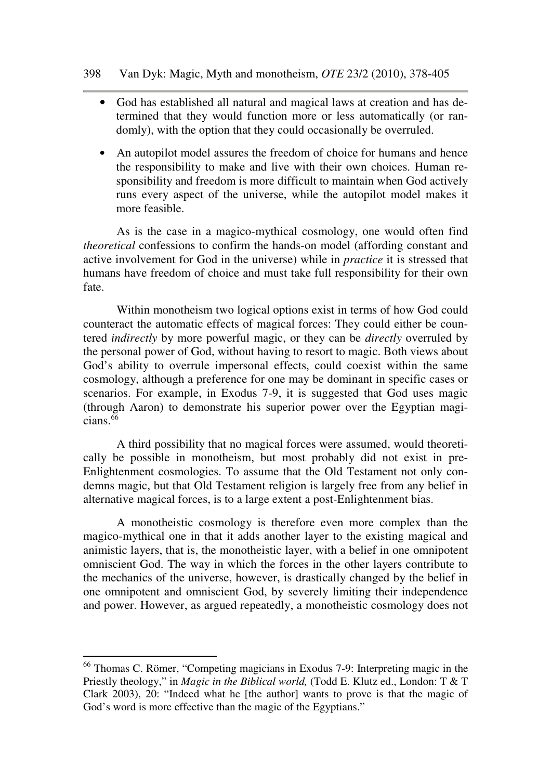- God has established all natural and magical laws at creation and has determined that they would function more or less automatically (or randomly), with the option that they could occasionally be overruled.
- An autopilot model assures the freedom of choice for humans and hence the responsibility to make and live with their own choices. Human responsibility and freedom is more difficult to maintain when God actively runs every aspect of the universe, while the autopilot model makes it more feasible.

As is the case in a magico-mythical cosmology, one would often find *theoretical* confessions to confirm the hands-on model (affording constant and active involvement for God in the universe) while in *practice* it is stressed that humans have freedom of choice and must take full responsibility for their own fate.

Within monotheism two logical options exist in terms of how God could counteract the automatic effects of magical forces: They could either be countered *indirectly* by more powerful magic, or they can be *directly* overruled by the personal power of God, without having to resort to magic. Both views about God's ability to overrule impersonal effects, could coexist within the same cosmology, although a preference for one may be dominant in specific cases or scenarios. For example, in Exodus 7-9, it is suggested that God uses magic (through Aaron) to demonstrate his superior power over the Egyptian magicians.<sup>66</sup>

A third possibility that no magical forces were assumed, would theoretically be possible in monotheism, but most probably did not exist in pre-Enlightenment cosmologies. To assume that the Old Testament not only condemns magic, but that Old Testament religion is largely free from any belief in alternative magical forces, is to a large extent a post-Enlightenment bias.

A monotheistic cosmology is therefore even more complex than the magico-mythical one in that it adds another layer to the existing magical and animistic layers, that is, the monotheistic layer, with a belief in one omnipotent omniscient God. The way in which the forces in the other layers contribute to the mechanics of the universe, however, is drastically changed by the belief in one omnipotent and omniscient God, by severely limiting their independence and power. However, as argued repeatedly, a monotheistic cosmology does not

<sup>&</sup>lt;sup>66</sup> Thomas C. Römer, "Competing magicians in Exodus 7-9: Interpreting magic in the Priestly theology," in *Magic in the Biblical world*, (Todd E. Klutz ed., London: T & T Clark 2003), 20: "Indeed what he [the author] wants to prove is that the magic of God's word is more effective than the magic of the Egyptians."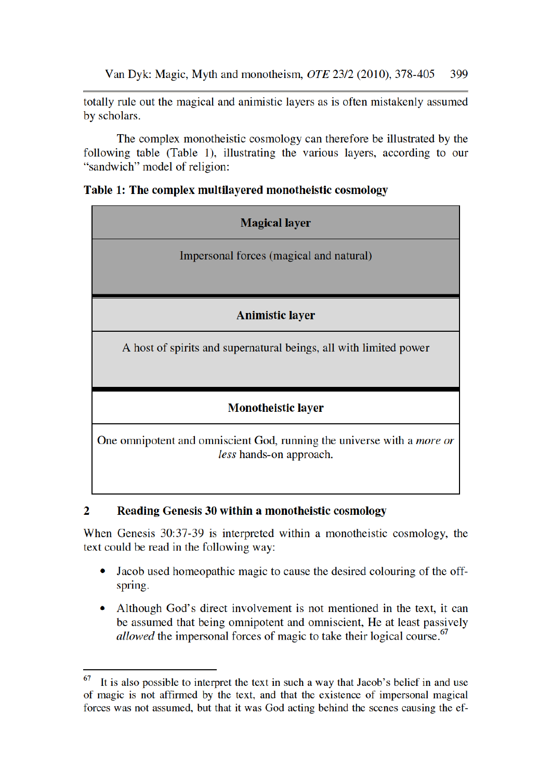totally rule out the magical and animistic layers as is often mistakenly assumed by scholars.

The complex monotheistic cosmology can therefore be illustrated by the following table (Table 1), illustrating the various layers, according to our "sandwich" model of religion:

Table 1: The complex multilayered monotheistic cosmology

| <b>Magical layer</b>                                                                                     |
|----------------------------------------------------------------------------------------------------------|
| Impersonal forces (magical and natural)                                                                  |
|                                                                                                          |
| <b>Animistic layer</b>                                                                                   |
| A host of spirits and supernatural beings, all with limited power                                        |
|                                                                                                          |
| <b>Monotheistic layer</b>                                                                                |
| One omnipotent and omniscient God, running the universe with a <i>more or</i><br>less hands-on approach. |

# 2 Reading Genesis 30 within a monotheistic cosmology

When Genesis 30:37-39 is interpreted within a monotheistic cosmology, the text could be read in the following way:

- Jacob used homeopathic magic to cause the desired colouring of the offspring.
- Although God's direct involvement is not mentioned in the text, it can be assumed that being omnipotent and omniscient, He at least passively *allowed* the impersonal forces of magic to take their logical course. 67

 $67$  It is also possible to interpret the text in such a way that Jacob's belief in and use of magic is not affirmed by the text, and that the existence of impersonal magical forces was not assumed, but that it was God acting behind the scenes causing the ef-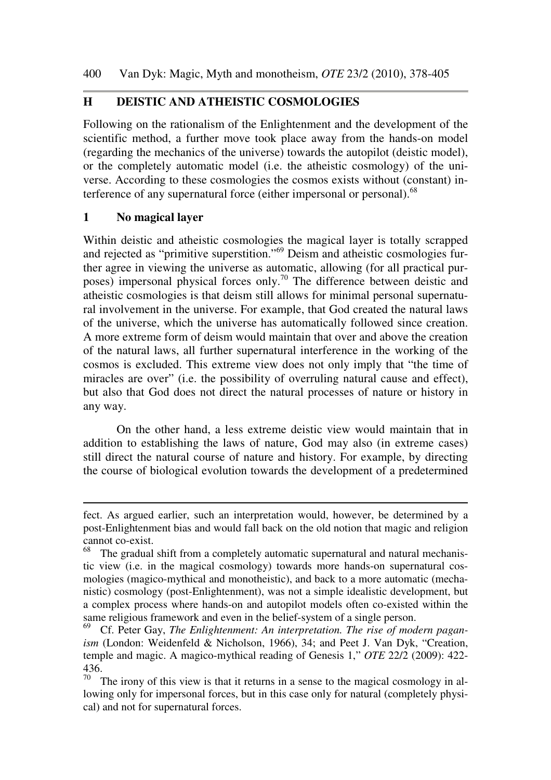### **H DEISTIC AND ATHEISTIC COSMOLOGIES**

Following on the rationalism of the Enlightenment and the development of the scientific method, a further move took place away from the hands-on model (regarding the mechanics of the universe) towards the autopilot (deistic model), or the completely automatic model (i.e. the atheistic cosmology) of the universe. According to these cosmologies the cosmos exists without (constant) interference of any supernatural force (either impersonal or personal).<sup>68</sup>

### **1 No magical layer**

 $\overline{a}$ 

Within deistic and atheistic cosmologies the magical layer is totally scrapped and rejected as "primitive superstition."<sup>69</sup> Deism and atheistic cosmologies further agree in viewing the universe as automatic, allowing (for all practical purposes) impersonal physical forces only.<sup>70</sup> The difference between deistic and atheistic cosmologies is that deism still allows for minimal personal supernatural involvement in the universe. For example, that God created the natural laws of the universe, which the universe has automatically followed since creation. A more extreme form of deism would maintain that over and above the creation of the natural laws, all further supernatural interference in the working of the cosmos is excluded. This extreme view does not only imply that "the time of miracles are over" (i.e. the possibility of overruling natural cause and effect), but also that God does not direct the natural processes of nature or history in any way.

On the other hand, a less extreme deistic view would maintain that in addition to establishing the laws of nature, God may also (in extreme cases) still direct the natural course of nature and history. For example, by directing the course of biological evolution towards the development of a predetermined

fect. As argued earlier, such an interpretation would, however, be determined by a post-Enlightenment bias and would fall back on the old notion that magic and religion cannot co-exist.

<sup>&</sup>lt;sup>68</sup> The gradual shift from a completely automatic supernatural and natural mechanistic view (i.e. in the magical cosmology) towards more hands-on supernatural cosmologies (magico-mythical and monotheistic), and back to a more automatic (mechanistic) cosmology (post-Enlightenment), was not a simple idealistic development, but a complex process where hands-on and autopilot models often co-existed within the same religious framework and even in the belief-system of a single person.

<sup>69</sup> Cf. Peter Gay, *The Enlightenment: An interpretation. The rise of modern paganism* (London: Weidenfeld & Nicholson, 1966), 34; and Peet J. Van Dyk, "Creation, temple and magic. A magico-mythical reading of Genesis 1," *OTE* 22/2 (2009): 422- 436.

 $\frac{70}{70}$ . The irony of this view is that it returns in a sense to the magical cosmology in allowing only for impersonal forces, but in this case only for natural (completely physical) and not for supernatural forces.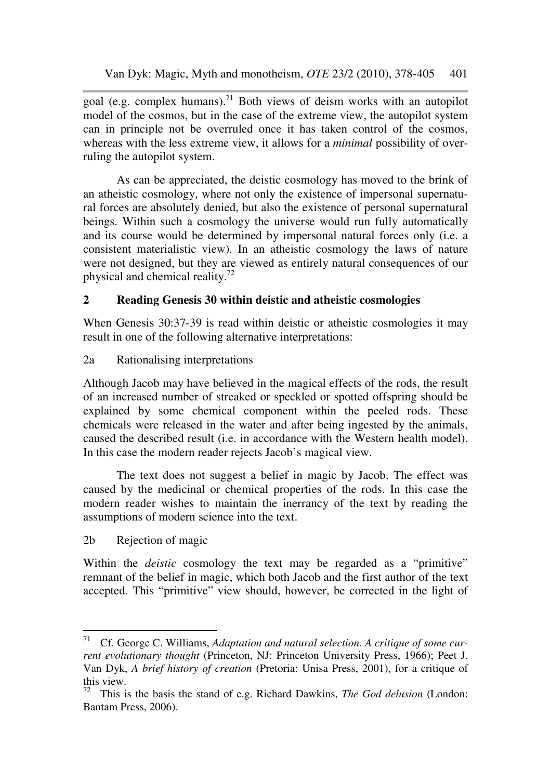goal (e.g. complex humans).<sup>71</sup> Both views of deism works with an autopilot model of the cosmos, but in the case of the extreme view, the autopilot system can in principle not be overruled once it has taken control of the cosmos, whereas with the less extreme view, it allows for a *minimal* possibility of overruling the autopilot system.

As can be appreciated, the deistic cosmology has moved to the brink of an atheistic cosmology, where not only the existence of impersonal supernatural forces are absolutely denied, but also the existence of personal supernatural beings. Within such a cosmology the universe would run fully automatically and its course would be determined by impersonal natural forces only (i.e. a consistent materialistic view). In an atheistic cosmology the laws of nature were not designed, but they are viewed as entirely natural consequences of our physical and chemical reality.<sup>72</sup>

# **2 Reading Genesis 30 within deistic and atheistic cosmologies**

When Genesis 30:37-39 is read within deistic or atheistic cosmologies it may result in one of the following alternative interpretations:

### 2a Rationalising interpretations

Although Jacob may have believed in the magical effects of the rods, the result of an increased number of streaked or speckled or spotted offspring should be explained by some chemical component within the peeled rods. These chemicals were released in the water and after being ingested by the animals, caused the described result (i.e. in accordance with the Western health model). In this case the modern reader rejects Jacob's magical view.

The text does not suggest a belief in magic by Jacob. The effect was caused by the medicinal or chemical properties of the rods. In this case the modern reader wishes to maintain the inerrancy of the text by reading the assumptions of modern science into the text.

2b Rejection of magic

Within the *deistic* cosmology the text may be regarded as a "primitive" remnant of the belief in magic, which both Jacob and the first author of the text accepted. This "primitive" view should, however, be corrected in the light of

<sup>71</sup> Cf. George C. Williams, *Adaptation and natural selection*. A critique of some cur*rent evolutionary thought* (Princeton, NJ: Princeton University Press, 1966); Peet J. Van Dyk, *A brief history of creation* (Pretoria: Unisa Press, 2001), for a critique of this view.

<sup>72</sup> This is the basis the stand of e.g. Richard Dawkins, *The God delusion* (London: Bantam Press, 2006).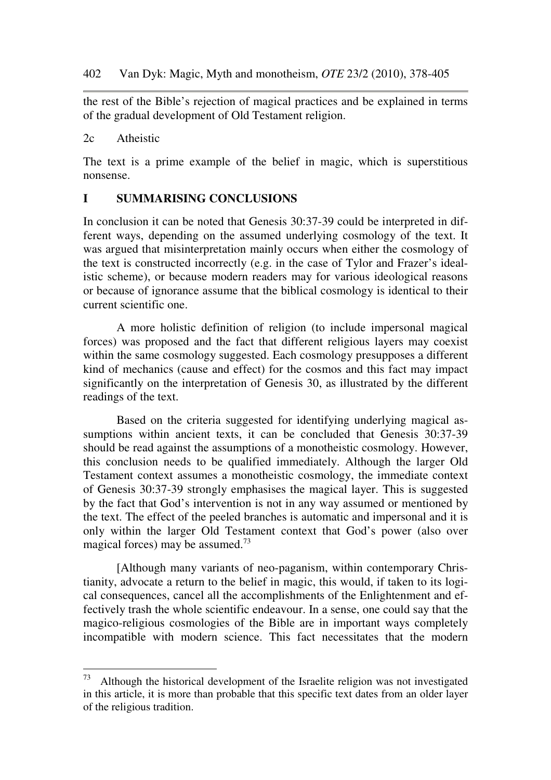#### 402 Van Dyk: Magic, Myth and monotheism, *OTE* 23/2 (2010), 378-405

the rest of the Bible's rejection of magical practices and be explained in terms of the gradual development of Old Testament religion.

#### 2c Atheistic

The text is a prime example of the belief in magic, which is superstitious nonsense.

### **I SUMMARISING CONCLUSIONS**

In conclusion it can be noted that Genesis 30:37-39 could be interpreted in different ways, depending on the assumed underlying cosmology of the text. It was argued that misinterpretation mainly occurs when either the cosmology of the text is constructed incorrectly (e.g. in the case of Tylor and Frazer's idealistic scheme), or because modern readers may for various ideological reasons or because of ignorance assume that the biblical cosmology is identical to their current scientific one.

A more holistic definition of religion (to include impersonal magical forces) was proposed and the fact that different religious layers may coexist within the same cosmology suggested. Each cosmology presupposes a different kind of mechanics (cause and effect) for the cosmos and this fact may impact significantly on the interpretation of Genesis 30, as illustrated by the different readings of the text.

Based on the criteria suggested for identifying underlying magical assumptions within ancient texts, it can be concluded that Genesis 30:37-39 should be read against the assumptions of a monotheistic cosmology. However, this conclusion needs to be qualified immediately. Although the larger Old Testament context assumes a monotheistic cosmology, the immediate context of Genesis 30:37-39 strongly emphasises the magical layer. This is suggested by the fact that God's intervention is not in any way assumed or mentioned by the text. The effect of the peeled branches is automatic and impersonal and it is only within the larger Old Testament context that God's power (also over magical forces) may be assumed.<sup>73</sup>

[Although many variants of neo-paganism, within contemporary Christianity, advocate a return to the belief in magic, this would, if taken to its logical consequences, cancel all the accomplishments of the Enlightenment and effectively trash the whole scientific endeavour. In a sense, one could say that the magico-religious cosmologies of the Bible are in important ways completely incompatible with modern science. This fact necessitates that the modern

<sup>73</sup> Although the historical development of the Israelite religion was not investigated in this article, it is more than probable that this specific text dates from an older layer of the religious tradition.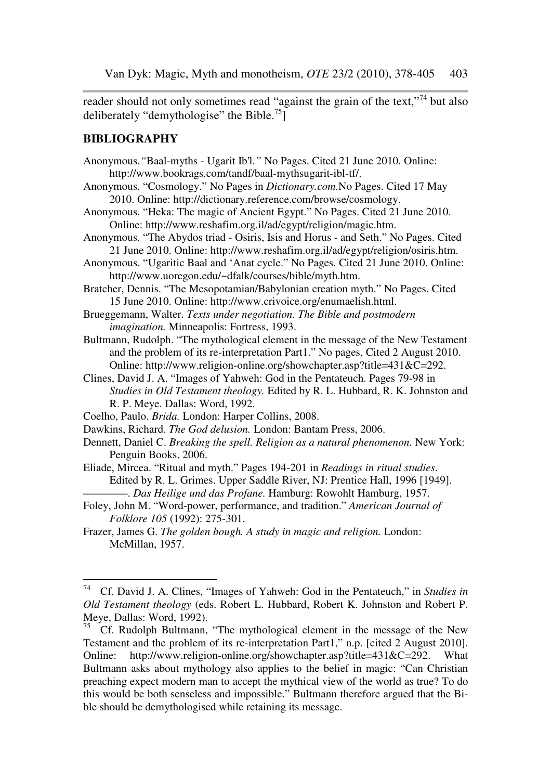reader should not only sometimes read "against the grain of the text,"<sup>74</sup> but also deliberately "demythologise" the Bible.<sup>75</sup>]

#### **BIBLIOGRAPHY**

- Anonymous.*"*Baal-myths Ugarit Ib'l.*"* No Pages. Cited 21 June 2010. Online: http://www.bookrags.com/tandf/baal-mythsugarit-ibl-tf/. Anonymous. "Cosmology." No Pages in *Dictionary.com.*No Pages. Cited 17 May 2010. Online: http://dictionary.reference.com/browse/cosmology.
- Anonymous. "Heka: The magic of Ancient Egypt." No Pages. Cited 21 June 2010. Online: http://www.reshafim.org.il/ad/egypt/religion/magic.htm.
- Anonymous. "The Abydos triad Osiris, Isis and Horus and Seth." No Pages. Cited 21 June 2010. Online: http://www.reshafim.org.il/ad/egypt/religion/osiris.htm.
- Anonymous. "Ugaritic Baal and 'Anat cycle." No Pages. Cited 21 June 2010. Online: http://www.uoregon.edu/~dfalk/courses/bible/myth.htm.
- Bratcher, Dennis. "The Mesopotamian/Babylonian creation myth." No Pages. Cited 15 June 2010. Online: http://www.crivoice.org/enumaelish.html.
- Brueggemann, Walter. *Texts under negotiation. The Bible and postmodern imagination.* Minneapolis: Fortress, 1993.
- Bultmann, Rudolph. "The mythological element in the message of the New Testament and the problem of its re-interpretation Part1." No pages, Cited 2 August 2010. Online: http://www.religion-online.org/showchapter.asp?title=431&C=292.
- Clines, David J. A. "Images of Yahweh: God in the Pentateuch. Pages 79-98 in *Studies in Old Testament theology.* Edited by R. L. Hubbard, R. K. Johnston and R. P. Meye. Dallas: Word, 1992.
- Coelho, Paulo. *Brida.* London: Harper Collins, 2008.
- Dawkins, Richard. *The God delusion.* London: Bantam Press, 2006.
- Dennett, Daniel C. *Breaking the spell. Religion as a natural phenomenon.* New York: Penguin Books, 2006.
- Eliade, Mircea. "Ritual and myth." Pages 194-201 in *Readings in ritual studies*. Edited by R. L. Grimes. Upper Saddle River, NJ: Prentice Hall, 1996 [1949]. ————. *Das Heilige und das Profane.* Hamburg: Rowohlt Hamburg, 1957.
- Foley, John M. "Word-power, performance, and tradition." *American Journal of Folklore 105* (1992): 275-301.
- Frazer, James G. *The golden bough. A study in magic and religion.* London: McMillan, 1957.

<sup>74</sup> Cf. David J. A. Clines, "Images of Yahweh: God in the Pentateuch," in *Studies in Old Testament theology* (eds. Robert L. Hubbard, Robert K. Johnston and Robert P. Meye, Dallas: Word, 1992).

 $75$  Cf. Rudolph Bultmann, "The mythological element in the message of the New Testament and the problem of its re-interpretation Part1," n.p. [cited 2 August 2010]. Online: http://www.religion-online.org/showchapter.asp?title=431&C=292. What Bultmann asks about mythology also applies to the belief in magic: "Can Christian preaching expect modern man to accept the mythical view of the world as true? To do this would be both senseless and impossible." Bultmann therefore argued that the Bible should be demythologised while retaining its message.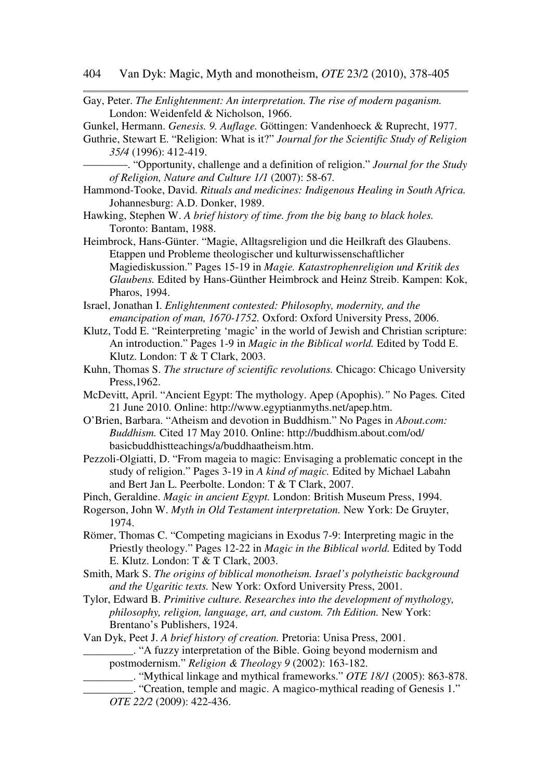Gay, Peter. *The Enlightenment: An interpretation. The rise of modern paganism.* London: Weidenfeld & Nicholson, 1966.

Gunkel, Hermann. *Genesis. 9. Auflage.* Göttingen: Vandenhoeck & Ruprecht, 1977.

Guthrie, Stewart E. "Religion: What is it?" *Journal for the Scientific Study of Religion 35/4* (1996): 412-419.

————. "Opportunity, challenge and a definition of religion." *Journal for the Study of Religion, Nature and Culture 1/1* (2007): 58-67*.*

- Hammond-Tooke, David. *Rituals and medicines: Indigenous Healing in South Africa.* Johannesburg: A.D. Donker, 1989.
- Hawking, Stephen W. *A brief history of time. from the big bang to black holes.*  Toronto: Bantam, 1988.
- Heimbrock, Hans-Günter. "Magie, Alltagsreligion und die Heilkraft des Glaubens. Etappen und Probleme theologischer und kulturwissenschaftlicher Magiediskussion." Pages 15-19 in *Magie. Katastrophenreligion und Kritik des Glaubens.* Edited by Hans-Günther Heimbrock and Heinz Streib. Kampen: Kok, Pharos, 1994.

Israel, Jonathan I. *Enlightenment contested: Philosophy, modernity, and the emancipation of man, 1670-1752.* Oxford: Oxford University Press, 2006.

- Klutz, Todd E. "Reinterpreting 'magic' in the world of Jewish and Christian scripture: An introduction." Pages 1-9 in *Magic in the Biblical world.* Edited by Todd E. Klutz. London: T & T Clark, 2003.
- Kuhn, Thomas S. *The structure of scientific revolutions.* Chicago: Chicago University Press,1962.
- McDevitt, April. "Ancient Egypt: The mythology. Apep (Apophis).*"* No Pages*.* Cited 21 June 2010. Online: http://www.egyptianmyths.net/apep.htm.
- O'Brien, Barbara. "Atheism and devotion in Buddhism." No Pages in *About.com: Buddhism.* Cited 17 May 2010. Online: http://buddhism.about.com/od/ basicbuddhistteachings/a/buddhaatheism.htm.
- Pezzoli-Olgiatti, D. "From mageia to magic: Envisaging a problematic concept in the study of religion." Pages 3-19 in *A kind of magic.* Edited by Michael Labahn and Bert Jan L. Peerbolte. London: T & T Clark, 2007.
- Pinch, Geraldine. *Magic in ancient Egypt.* London: British Museum Press, 1994.
- Rogerson, John W. *Myth in Old Testament interpretation.* New York: De Gruyter, 1974.
- Römer, Thomas C. "Competing magicians in Exodus 7-9: Interpreting magic in the Priestly theology." Pages 12-22 in *Magic in the Biblical world.* Edited by Todd E. Klutz. London: T & T Clark, 2003.

Smith, Mark S. *The origins of biblical monotheism. Israel's polytheistic background and the Ugaritic texts.* New York: Oxford University Press, 2001.

- Tylor, Edward B. *Primitive culture. Researches into the development of mythology, philosophy, religion, language, art, and custom. 7th Edition.* New York: Brentano's Publishers, 1924.
- Van Dyk, Peet J. *A brief history of creation.* Pretoria: Unisa Press, 2001.
	- \_\_\_\_\_\_\_\_\_. "A fuzzy interpretation of the Bible. Going beyond modernism and postmodernism." *Religion & Theology 9* (2002): 163-182.

\_\_\_\_\_\_\_\_\_. "Mythical linkage and mythical frameworks." *OTE 18/1* (2005): 863-878.

\_\_\_\_\_\_\_\_\_. "Creation, temple and magic. A magico-mythical reading of Genesis 1." *OTE 22/2* (2009): 422-436.